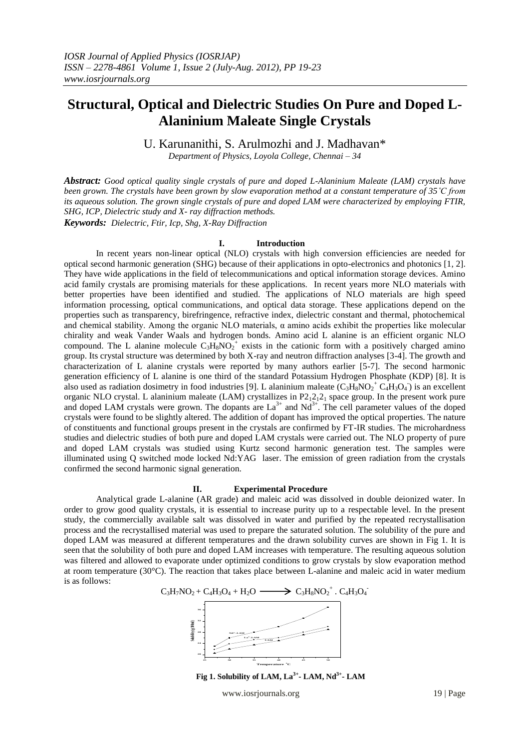# **Structural, Optical and Dielectric Studies On Pure and Doped L-Alaninium Maleate Single Crystals**

U. Karunanithi, S. Arulmozhi and J. Madhavan\*

*Department of Physics, Loyola College, Chennai – 34*

*Abstract: Good optical quality single crystals of pure and doped L-Alaninium Maleate (LAM) crystals have been grown. The crystals have been grown by slow evaporation method at a constant temperature of 35˚C from its aqueous solution. The grown single crystals of pure and doped LAM were characterized by employing FTIR, SHG, ICP, Dielectric study and X- ray diffraction methods. Keywords: Dielectric, Ftir, Icp, Shg, X-Ray Diffraction*

#### **I. Introduction**

In recent years non-linear optical (NLO) crystals with high conversion efficiencies are needed for optical second harmonic generation (SHG) because of their applications in opto-electronics and photonics [1, 2]. They have wide applications in the field of telecommunications and optical information storage devices. Amino acid family crystals are promising materials for these applications. In recent years more NLO materials with better properties have been identified and studied. The applications of NLO materials are high speed information processing, optical communications, and optical data storage. These applications depend on the properties such as transparency, birefringence, refractive index, dielectric constant and thermal, photochemical and chemical stability. Among the organic NLO materials, α amino acids exhibit the properties like molecular chirality and weak Vander Waals and hydrogen bonds. Amino acid L alanine is an efficient organic NLO compound. The L alanine molecule  $C_3H_8NO_2^+$  exists in the cationic form with a positively charged amino group. Its crystal structure was determined by both X-ray and neutron diffraction analyses [3-4]. The growth and characterization of L alanine crystals were reported by many authors earlier [5-7]. The second harmonic generation efficiency of L alanine is one third of the standard Potassium Hydrogen Phosphate (KDP) [8]. It is also used as radiation dosimetry in food industries [9]. L alaninium maleate  $(C_3H_8NO_2^+C_4H_3O_4)$  is an excellent organic NLO crystal. L alaninium maleate (LAM) crystallizes in  $P_12_12_1$  space group. In the present work pure and doped LAM crystals were grown. The dopants are  $La^{3+}$  and  $Nd^{3+}$ . The cell parameter values of the doped crystals were found to be slightly altered. The addition of dopant has improved the optical properties. The nature of constituents and functional groups present in the crystals are confirmed by FT-IR studies. The microhardness studies and dielectric studies of both pure and doped LAM crystals were carried out. The NLO property of pure and doped LAM crystals was studied using Kurtz second harmonic generation test. The samples were illuminated using Q switched mode locked Nd:YAG laser. The emission of green radiation from the crystals confirmed the second harmonic signal generation.

#### **II. Experimental Procedure**

Analytical grade L-alanine (AR grade) and maleic acid was dissolved in double deionized water. In order to grow good quality crystals, it is essential to increase purity up to a respectable level. In the present study, the commercially available salt was dissolved in water and purified by the repeated recrystallisation process and the recrystallised material was used to prepare the saturated solution. The solubility of the pure and doped LAM was measured at different temperatures and the drawn solubility curves are shown in Fig 1. It is seen that the solubility of both pure and doped LAM increases with temperature. The resulting aqueous solution was filtered and allowed to evaporate under optimized conditions to grow crystals by slow evaporation method at room temperature (30 $^{\circ}$ C). The reaction that takes place between L-alanine and maleic acid in water medium is as follows:



**Fig 1. Solubility of LAM, La3+ - LAM, Nd3+ - LAM**

www.iosrjournals.org 19 | Page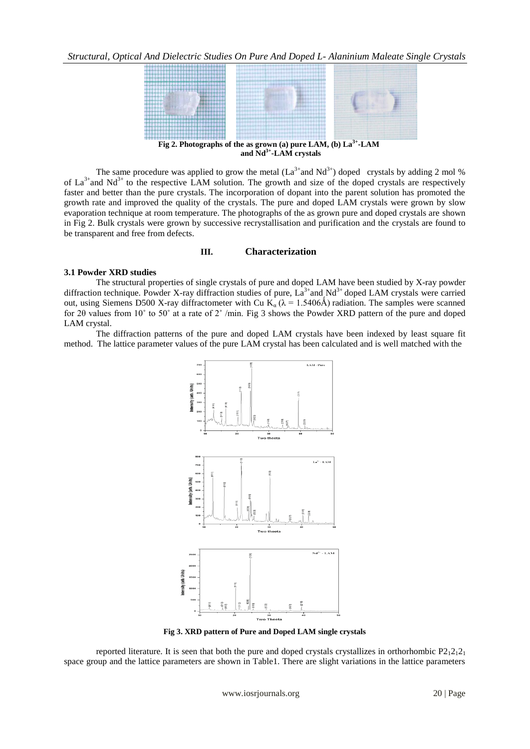

The same procedure was applied to grow the metal  $(La^{3+}$  and  $Nd^{3+})$  doped crystals by adding 2 mol % of  $La^{3+}$  and Nd<sup>3+</sup> to the respective LAM solution. The growth and size of the doped crystals are respectively faster and better than the pure crystals. The incorporation of dopant into the parent solution has promoted the growth rate and improved the quality of the crystals. The pure and doped LAM crystals were grown by slow evaporation technique at room temperature. The photographs of the as grown pure and doped crystals are shown in Fig 2. Bulk crystals were grown by successive recrystallisation and purification and the crystals are found to be transparent and free from defects.

## **III. Characterization**

## **3.1 Powder XRD studies**

The structural properties of single crystals of pure and doped LAM have been studied by X-ray powder diffraction technique. Powder X-ray diffraction studies of pure,  $La^{3+}$  and  $Nd^{3+}$  doped LAM crystals were carried out, using Siemens D500 X-ray diffractometer with Cu K<sub>a</sub> ( $\lambda$  = 1.5406Å) radiation. The samples were scanned for 2θ values from 10˚ to 50˚ at a rate of 2˚ /min. Fig 3 shows the Powder XRD pattern of the pure and doped LAM crystal.

The diffraction patterns of the pure and doped LAM crystals have been indexed by least square fit method. The lattice parameter values of the pure LAM crystal has been calculated and is well matched with the



**Fig 3. XRD pattern of Pure and Doped LAM single crystals**

reported literature. It is seen that both the pure and doped crystallizes in orthorhombic  $P2_12_12_1$ space group and the lattice parameters are shown in Table1. There are slight variations in the lattice parameters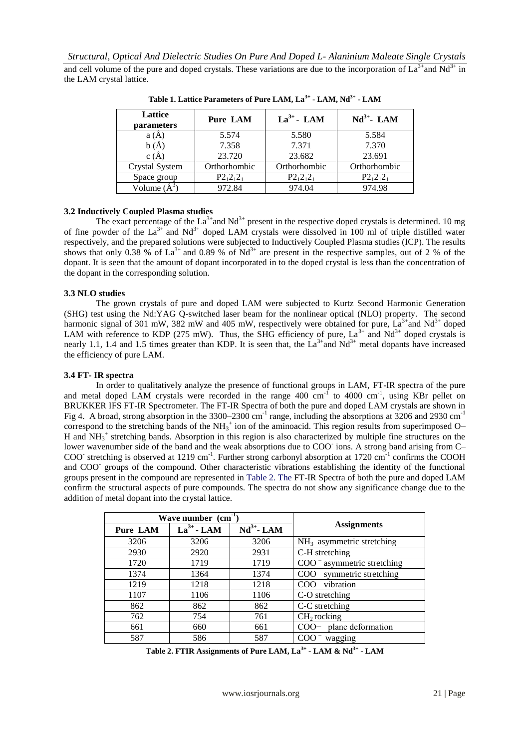and cell volume of the pure and doped crystals. These variations are due to the incorporation of  $La^{3+}$  and  $Nd^{3+}$  in the LAM crystal lattice.

| Lattice<br>parameters | <b>Pure LAM</b> | $La^{3+}$ - LAM | $Nd^{3+}$ - LAM |
|-----------------------|-----------------|-----------------|-----------------|
| a(A)                  | 5.574           | 5.580           | 5.584           |
| b(A)                  | 7.358           | 7.371           | 7.370           |
| c(A)                  | 23.720          | 23.682          | 23.691          |
| Crystal System        | Orthorhombic    | Orthorhombic    | Orthorhombic    |
| Space group           | $P2_12_12_1$    | $P2_12_12_1$    | $P2_12_12_1$    |
| Volume $(A^3)$        | 972.84          | 974.04          | 974.98          |

**Table 1. Lattice Parameters of Pure LAM, La3+ - LAM, Nd3+ - LAM**

# **3.2 Inductively Coupled Plasma studies**

The exact percentage of the  $La^{3+}$  and  $Nd^{3+}$  present in the respective doped crystals is determined. 10 mg of fine powder of the La<sup>3+</sup> and Nd<sup>3+</sup> doped LAM crystals were dissolved in 100 ml of triple distilled water respectively, and the prepared solutions were subjected to Inductively Coupled Plasma studies (ICP). The results shows that only 0.38 % of  $La^{3+}$  and 0.89 % of Nd<sup>3+</sup> are present in the respective samples, out of 2 % of the dopant. It is seen that the amount of dopant incorporated in to the doped crystal is less than the concentration of the dopant in the corresponding solution.

# **3.3 NLO studies**

The grown crystals of pure and doped LAM were subjected to Kurtz Second Harmonic Generation (SHG) test using the Nd:YAG Q-switched laser beam for the nonlinear optical (NLO) property. The second harmonic signal of 301 mW, 382 mW and 405 mW, respectively were obtained for pure,  $La^{3+}$  and Nd<sup>3+</sup> doped LAM with reference to KDP (275 mW). Thus, the SHG efficiency of pure,  $La^{3+}$  and  $Nd^{3+}$  doped crystals is nearly 1.1, 1.4 and 1.5 times greater than KDP. It is seen that, the  $La^{3+}$  and  $Nd^{3+}$  metal dopants have increased the efficiency of pure LAM.

## **3.4 FT- IR spectra**

In order to qualitatively analyze the presence of functional groups in LAM, FT-IR spectra of the pure and metal doped LAM crystals were recorded in the range  $400 \text{ cm}^{-1}$  to  $4000 \text{ cm}^{-1}$ , using KBr pellet on BRUKKER IFS FT-IR Spectrometer. The FT-IR Spectra of both the pure and doped LAM crystals are shown in Fig 4. A broad, strong absorption in the 3300–2300 cm<sup>-1</sup> range, including the absorptions at 3206 and 2930 cm<sup>-1</sup> correspond to the stretching bands of the  $NH_3^+$  ion of the aminoacid. This region results from superimposed O-H and  $NH_3^+$  stretching bands. Absorption in this region is also characterized by multiple fine structures on the lower wavenumber side of the band and the weak absorptions due to COO ions. A strong band arising from C-COO<sup>-</sup> stretching is observed at 1219 cm<sup>-1</sup>. Further strong carbonyl absorption at 1720 cm<sup>-1</sup> confirms the COOH and COO<sup>-</sup> groups of the compound. Other characteristic vibrations establishing the identity of the functional groups present in the compound are represented in Table 2. The FT-IR Spectra of both the pure and doped LAM confirm the structural aspects of pure compounds. The spectra do not show any significance change due to the addition of metal dopant into the crystal lattice.

| Wave number $(cm^{-1})$ |                 |                 |                                               |  |
|-------------------------|-----------------|-----------------|-----------------------------------------------|--|
| Pure LAM                | $La^{3+}$ - LAM | $Nd^{3+}$ - LAM | <b>Assignments</b>                            |  |
| 3206                    | 3206            | 3206            | $NH3$ asymmetric stretching                   |  |
| 2930                    | 2920            | 2931            | C-H stretching                                |  |
| 1720                    | 1719            | 1719            | $\rm{COO}$ <sup>-</sup> asymmetric stretching |  |
| 1374                    | 1364            | 1374            | $\rm{COO}$ <sup>-</sup> symmetric stretching  |  |
| 1219                    | 1218            | 1218            | $COO-$ vibration                              |  |
| 1107                    | 1106            | 1106            | C-O stretching                                |  |
| 862                     | 862             | 862             | C-C stretching                                |  |
| 762                     | 754             | 761             | $CH2$ rocking                                 |  |
| 661                     | 660             | 661             | COO- plane deformation                        |  |
| 587                     | 586             | 587             | $COO-$<br>wagging                             |  |

**Table 2. FTIR Assignments of Pure LAM, La3+ - LAM & Nd3+ - LAM**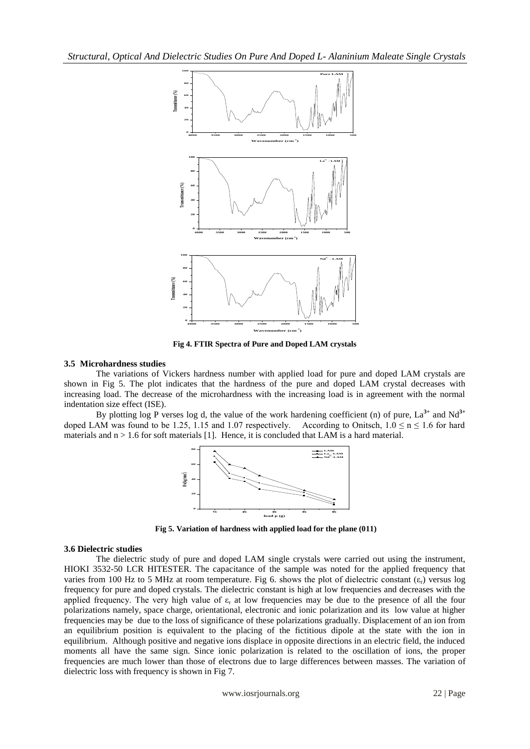

**Fig 4. FTIR Spectra of Pure and Doped LAM crystals**

## **3.5 Microhardness studies**

The variations of Vickers hardness number with applied load for pure and doped LAM crystals are shown in Fig 5. The plot indicates that the hardness of the pure and doped LAM crystal decreases with increasing load. The decrease of the microhardness with the increasing load is in agreement with the normal indentation size effect (ISE).

By plotting log P verses log d, the value of the work hardening coefficient (n) of pure, La**3+** and Nd**3+** doped LAM was found to be 1.25, 1.15 and 1.07 respectively. According to Onitsch,  $1.0 \le n \le 1.6$  for hard materials and  $n > 1.6$  for soft materials [1]. Hence, it is concluded that LAM is a hard material.



**Fig 5. Variation of hardness with applied load for the plane (011)**

## **3.6 Dielectric studies**

The dielectric study of pure and doped LAM single crystals were carried out using the instrument, HIOKI 3532-50 LCR HITESTER. The capacitance of the sample was noted for the applied frequency that varies from 100 Hz to 5 MHz at room temperature. Fig 6. shows the plot of dielectric constant ( $\varepsilon_r$ ) versus log frequency for pure and doped crystals. The dielectric constant is high at low frequencies and decreases with the applied frequency. The very high value of  $\varepsilon_r$  at low frequencies may be due to the presence of all the four polarizations namely, space charge, orientational, electronic and ionic polarization and its low value at higher frequencies may be due to the loss of significance of these polarizations gradually. Displacement of an ion from an equilibrium position is equivalent to the placing of the fictitious dipole at the state with the ion in equilibrium. Although positive and negative ions displace in opposite directions in an electric field, the induced moments all have the same sign. Since ionic polarization is related to the oscillation of ions, the proper frequencies are much lower than those of electrons due to large differences between masses. The variation of dielectric loss with frequency is shown in Fig 7.

www.iosrjournals.org 22 | Page